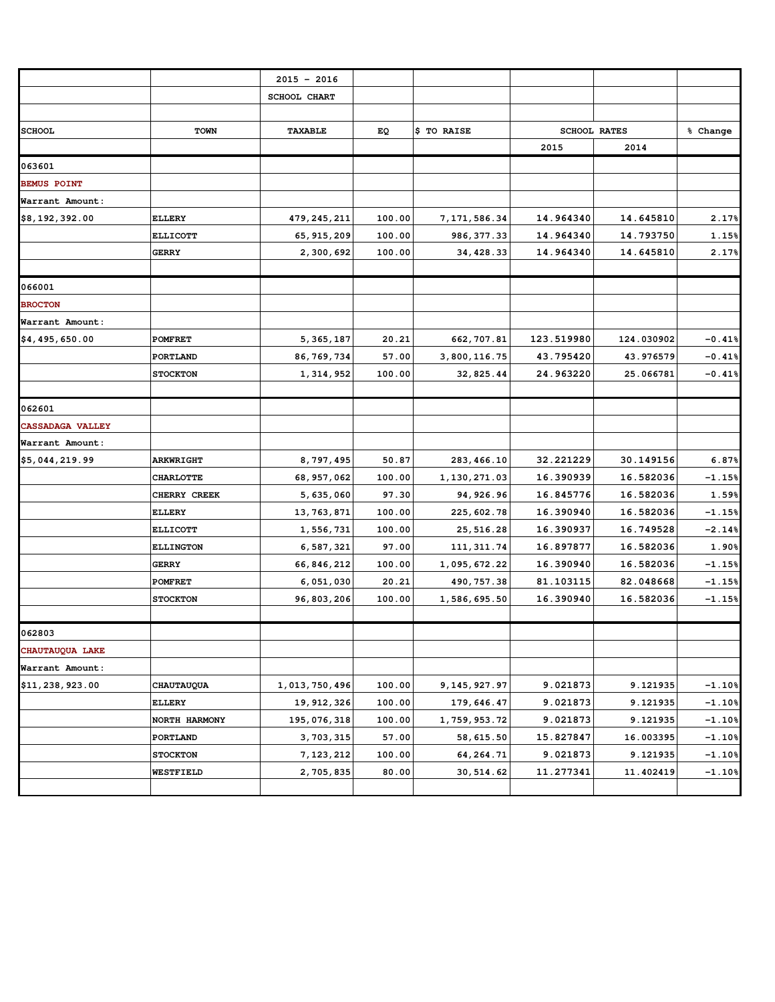|                         |                  | $2015 - 2016$ |        |                |            |                     |          |
|-------------------------|------------------|---------------|--------|----------------|------------|---------------------|----------|
|                         |                  | SCHOOL CHART  |        |                |            |                     |          |
|                         |                  |               |        |                |            |                     |          |
| <b>SCHOOL</b>           | <b>TOWN</b>      | TAXABLE       | EQ     | \$ TO RAISE    |            | <b>SCHOOL RATES</b> | % Change |
|                         |                  |               |        |                | 2015       | 2014                |          |
| 063601                  |                  |               |        |                |            |                     |          |
| <b>BEMUS POINT</b>      |                  |               |        |                |            |                     |          |
| Warrant Amount:         |                  |               |        |                |            |                     |          |
| \$8,192,392.00          | <b>ELLERY</b>    | 479,245,211   | 100.00 | 7, 171, 586.34 | 14.964340  | 14.645810           | 2.17%    |
|                         | <b>ELLICOTT</b>  | 65, 915, 209  | 100.00 | 986, 377.33    | 14.964340  | 14.793750           | 1.15%    |
|                         | <b>GERRY</b>     | 2,300,692     | 100.00 | 34, 428.33     | 14.964340  | 14.645810           | 2.17%    |
|                         |                  |               |        |                |            |                     |          |
| 066001                  |                  |               |        |                |            |                     |          |
| <b>BROCTON</b>          |                  |               |        |                |            |                     |          |
| Warrant Amount:         |                  |               |        |                |            |                     |          |
| \$4,495,650.00          | <b>POMFRET</b>   | 5,365,187     | 20.21  | 662, 707.81    | 123.519980 | 124.030902          | $-0.41%$ |
|                         | PORTLAND         | 86, 769, 734  | 57.00  | 3,800,116.75   | 43.795420  | 43.976579           | $-0.41%$ |
|                         | <b>STOCKTON</b>  | 1,314,952     | 100.00 | 32,825.44      | 24.963220  | 25.066781           | $-0.41%$ |
|                         |                  |               |        |                |            |                     |          |
| 062601                  |                  |               |        |                |            |                     |          |
| <b>CASSADAGA VALLEY</b> |                  |               |        |                |            |                     |          |
| Warrant Amount:         |                  |               |        |                |            |                     |          |
| \$5,044,219.99          | <b>ARKWRIGHT</b> | 8,797,495     | 50.87  | 283, 466.10    | 32.221229  | 30.149156           | 6.87%    |
|                         | <b>CHARLOTTE</b> | 68, 957, 062  | 100.00 | 1,130,271.03   | 16.390939  | 16.582036           | $-1.15%$ |
|                         | CHERRY CREEK     | 5,635,060     | 97.30  | 94, 926.96     | 16.845776  | 16.582036           | 1.59%    |
|                         | <b>ELLERY</b>    | 13,763,871    | 100.00 | 225, 602.78    | 16.390940  | 16.582036           | $-1.15%$ |
|                         | <b>ELLICOTT</b>  | 1,556,731     | 100.00 | 25, 516.28     | 16.390937  | 16.749528           | $-2.14%$ |
|                         | <b>ELLINGTON</b> | 6,587,321     | 97.00  | 111, 311.74    | 16.897877  | 16.582036           | 1.90%    |
|                         | <b>GERRY</b>     | 66,846,212    | 100.00 | 1,095,672.22   | 16.390940  | 16.582036           | $-1.15%$ |
|                         | <b>POMFRET</b>   | 6,051,030     | 20.21  | 490, 757.38    | 81.103115  | 82.048668           | $-1.15%$ |
|                         | <b>STOCKTON</b>  | 96,803,206    | 100.00 | 1,586,695.50   | 16.390940  | 16.582036           | $-1.15%$ |
|                         |                  |               |        |                |            |                     |          |
| 062803                  |                  |               |        |                |            |                     |          |
| CHAUTAUQUA LAKE         |                  |               |        |                |            |                     |          |
| Warrant Amount:         |                  |               |        |                |            |                     |          |
| \$11,238,923.00         | CHAUTAUQUA       | 1,013,750,496 | 100.00 | 9, 145, 927.97 | 9.021873   | 9.121935            | $-1.10%$ |
|                         | ELLERY           | 19, 912, 326  | 100.00 | 179,646.47     | 9.021873   | 9.121935            | $-1.10%$ |
|                         | NORTH HARMONY    | 195,076,318   | 100.00 | 1,759,953.72   | 9.021873   | 9.121935            | $-1.10%$ |
|                         | PORTLAND         | 3,703,315     | 57.00  | 58, 615.50     | 15.827847  | 16.003395           | $-1.10%$ |
|                         | <b>STOCKTON</b>  | 7, 123, 212   | 100.00 | 64, 264.71     | 9.021873   | 9.121935            | $-1.10%$ |
|                         | WESTFIELD        | 2,705,835     | 80.00  | 30,514.62      | 11.277341  | 11.402419           | $-1.10%$ |
|                         |                  |               |        |                |            |                     |          |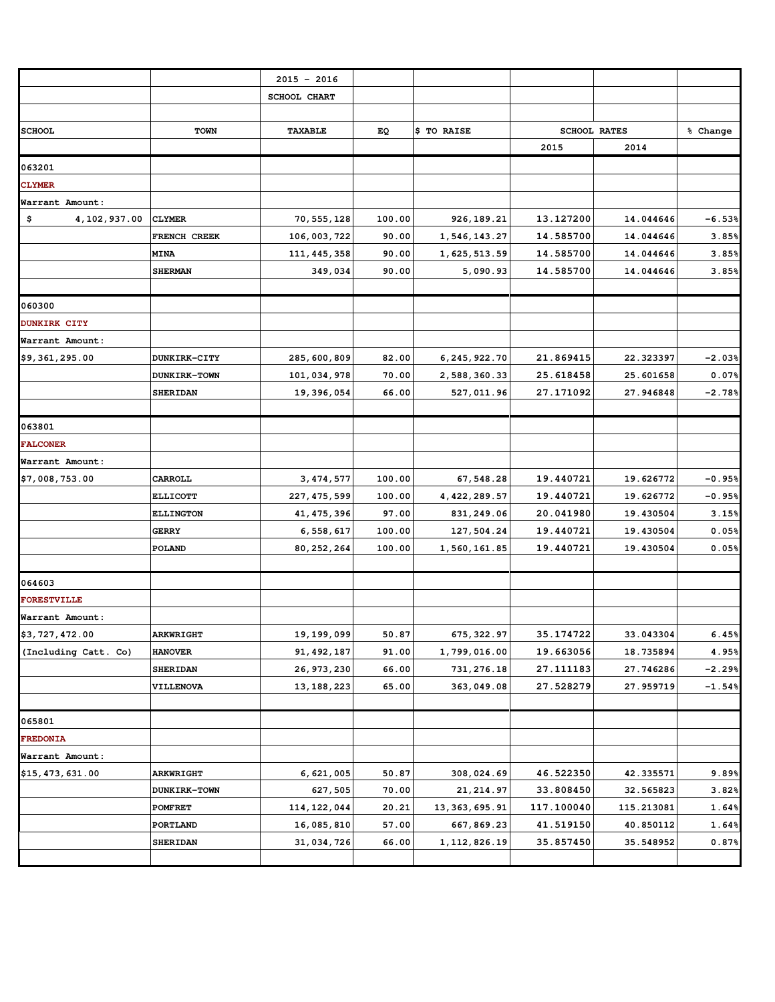|                      |                     | $2015 - 2016$       |        |                 |                     |            |          |
|----------------------|---------------------|---------------------|--------|-----------------|---------------------|------------|----------|
|                      |                     | <b>SCHOOL CHART</b> |        |                 |                     |            |          |
|                      |                     |                     |        |                 |                     |            |          |
| <b>SCHOOL</b>        | <b>TOWN</b>         | TAXABLE             | ΕQ     | \$ TO RAISE     | <b>SCHOOL RATES</b> |            | % Change |
|                      |                     |                     |        |                 | 2015                | 2014       |          |
| 063201               |                     |                     |        |                 |                     |            |          |
| <b>CLYMER</b>        |                     |                     |        |                 |                     |            |          |
| Warrant Amount:      |                     |                     |        |                 |                     |            |          |
| \$<br>4, 102, 937.00 | <b>CLYMER</b>       | 70, 555, 128        | 100.00 | 926, 189.21     | 13.127200           | 14.044646  | $-6.53%$ |
|                      | FRENCH CREEK        | 106,003,722         | 90.00  | 1,546,143.27    | 14.585700           | 14.044646  | 3.85%    |
|                      | <b>MINA</b>         | 111, 445, 358       | 90.00  | 1,625,513.59    | 14.585700           | 14.044646  | 3.85%    |
|                      | <b>SHERMAN</b>      | 349,034             | 90.00  | 5,090.93        | 14.585700           | 14.044646  | 3.85%    |
|                      |                     |                     |        |                 |                     |            |          |
| 060300               |                     |                     |        |                 |                     |            |          |
| <b>DUNKIRK CITY</b>  |                     |                     |        |                 |                     |            |          |
| Warrant Amount:      |                     |                     |        |                 |                     |            |          |
| \$9,361,295.00       | DUNKIRK-CITY        | 285,600,809         | 82.00  | 6, 245, 922.70  | 21.869415           | 22.323397  | $-2.03%$ |
|                      | <b>DUNKIRK-TOWN</b> | 101,034,978         | 70.00  | 2,588,360.33    | 25.618458           | 25.601658  | $0.07\%$ |
|                      | <b>SHERIDAN</b>     | 19,396,054          | 66.00  | 527,011.96      | 27.171092           | 27.946848  | $-2.78%$ |
|                      |                     |                     |        |                 |                     |            |          |
| 063801               |                     |                     |        |                 |                     |            |          |
| <b>FALCONER</b>      |                     |                     |        |                 |                     |            |          |
| Warrant Amount:      |                     |                     |        |                 |                     |            |          |
| \$7,008,753.00       | CARROLL             | 3, 474, 577         | 100.00 | 67,548.28       | 19.440721           | 19.626772  | $-0.95%$ |
|                      | <b>ELLICOTT</b>     | 227, 475, 599       | 100.00 | 4, 422, 289.57  | 19.440721           | 19.626772  | $-0.95%$ |
|                      | <b>ELLINGTON</b>    | 41, 475, 396        | 97.00  | 831, 249.06     | 20.041980           | 19.430504  | 3.15%    |
|                      | <b>GERRY</b>        | 6,558,617           | 100.00 | 127,504.24      | 19.440721           | 19.430504  | 0.05%    |
|                      | POLAND              | 80, 252, 264        | 100.00 | 1,560,161.85    | 19.440721           | 19.430504  | 0.05%    |
|                      |                     |                     |        |                 |                     |            |          |
| 064603               |                     |                     |        |                 |                     |            |          |
| <b>FORESTVILLE</b>   |                     |                     |        |                 |                     |            |          |
| Warrant Amount:      |                     |                     |        |                 |                     |            |          |
| \$3,727,472.00       | <b>ARKWRIGHT</b>    | 19, 199, 099        | 50.87  | 675, 322.97     | 35.174722           | 33.043304  | 6.45%    |
| (Including Catt. Co) | <b>HANOVER</b>      | 91, 492, 187        | 91.00  | 1,799,016.00    | 19.663056           | 18.735894  | 4.95%    |
|                      | <b>SHERIDAN</b>     | 26, 973, 230        | 66.00  | 731, 276.18     | 27.111183           | 27.746286  | $-2.29%$ |
|                      | <b>VILLENOVA</b>    | 13, 188, 223        | 65.00  | 363,049.08      | 27.528279           | 27.959719  | $-1.54%$ |
|                      |                     |                     |        |                 |                     |            |          |
| 065801               |                     |                     |        |                 |                     |            |          |
| <b>FREDONIA</b>      |                     |                     |        |                 |                     |            |          |
| Warrant Amount:      |                     |                     |        |                 |                     |            |          |
| \$15,473,631.00      | <b>ARKWRIGHT</b>    | 6,621,005           | 50.87  | 308,024.69      | 46.522350           | 42.335571  | 9.89%    |
|                      | <b>DUNKIRK-TOWN</b> | 627,505             | 70.00  | 21, 214.97      | 33.808450           | 32.565823  | 3.82%    |
|                      | POMFRET             | 114, 122, 044       | 20.21  | 13, 363, 695.91 | 117.100040          | 115.213081 | 1.64%    |
|                      | PORTLAND            | 16,085,810          | 57.00  | 667, 869.23     | 41.519150           | 40.850112  | 1.64%    |
|                      | <b>SHERIDAN</b>     | 31,034,726          | 66.00  | 1, 112, 826.19  | 35.857450           | 35.548952  | 0.87%    |
|                      |                     |                     |        |                 |                     |            |          |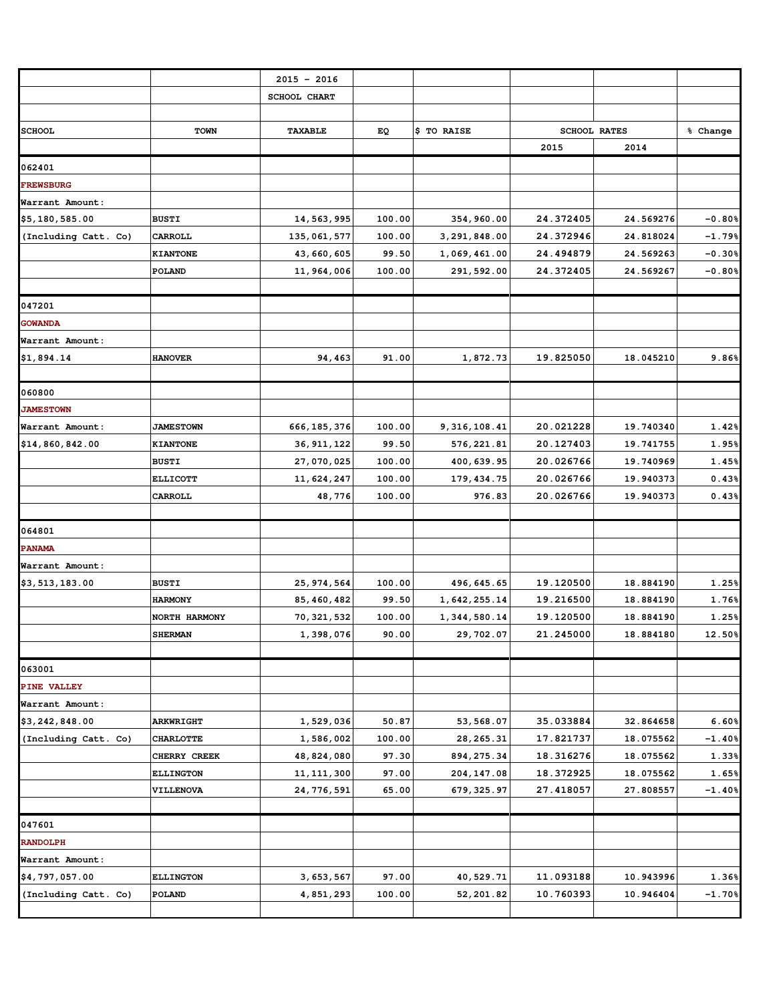|                      |                                | $2015 - 2016$              |                 |                             |                        |                        |                |
|----------------------|--------------------------------|----------------------------|-----------------|-----------------------------|------------------------|------------------------|----------------|
|                      |                                | <b>SCHOOL CHART</b>        |                 |                             |                        |                        |                |
| <b>SCHOOL</b>        | <b>TOWN</b>                    | TAXABLE                    | EQ              | \$ TO RAISE                 |                        | <b>SCHOOL RATES</b>    | % Change       |
|                      |                                |                            |                 |                             | 2015                   | 2014                   |                |
| 062401               |                                |                            |                 |                             |                        |                        |                |
| <b>FREWSBURG</b>     |                                |                            |                 |                             |                        |                        |                |
| Warrant Amount:      |                                |                            |                 |                             |                        |                        |                |
| \$5,180,585.00       | <b>BUSTI</b>                   | 14,563,995                 | 100.00          | 354,960.00                  | 24.372405              | 24.569276              | $-0.80%$       |
| (Including Catt. Co) | <b>CARROLL</b>                 | 135,061,577                | 100.00          | 3, 291, 848.00              | 24.372946              | 24.818024              | $-1.79%$       |
|                      | <b>KIANTONE</b>                | 43,660,605                 | 99.50           | 1,069,461.00                | 24.494879              | 24.569263              | $-0.30%$       |
|                      | POLAND                         | 11,964,006                 | 100.00          | 291, 592.00                 | 24.372405              | 24.569267              | $-0.80%$       |
|                      |                                |                            |                 |                             |                        |                        |                |
| 047201               |                                |                            |                 |                             |                        |                        |                |
| <b>GOWANDA</b>       |                                |                            |                 |                             |                        |                        |                |
| Warrant Amount:      |                                |                            |                 |                             |                        |                        |                |
| \$1,894.14           | <b>HANOVER</b>                 | 94,463                     | 91.00           | 1,872.73                    | 19.825050              | 18.045210              | 9.86%          |
|                      |                                |                            |                 |                             |                        |                        |                |
| 060800               |                                |                            |                 |                             |                        |                        |                |
| <b>JAMESTOWN</b>     |                                |                            |                 |                             |                        |                        |                |
| Warrant Amount:      | <b>JAMESTOWN</b>               | 666, 185, 376              | 100.00          | 9, 316, 108.41              | 20.021228              | 19.740340              | 1.42%          |
| \$14,860,842.00      | <b>KIANTONE</b>                | 36, 911, 122               | 99.50           | 576, 221.81                 | 20.127403              | 19.741755              | 1.95%          |
|                      | <b>BUSTI</b>                   | 27,070,025                 | 100.00          | 400, 639.95                 | 20.026766              | 19.740969              | 1.45%          |
|                      | <b>ELLICOTT</b>                | 11,624,247                 | 100.00          | 179, 434.75                 | 20.026766              | 19.940373              | 0.43%          |
|                      | CARROLL                        | 48,776                     | 100.00          | 976.83                      | 20.026766              | 19.940373              | 0.43%          |
|                      |                                |                            |                 |                             |                        |                        |                |
| 064801               |                                |                            |                 |                             |                        |                        |                |
| <b>PANAMA</b>        |                                |                            |                 |                             |                        |                        |                |
| Warrant Amount:      |                                |                            |                 |                             |                        |                        |                |
| \$3,513,183.00       | <b>BUSTI</b><br><b>HARMONY</b> | 25, 974, 564               | 100.00<br>99.50 | 496, 645.65<br>1,642,255.14 | 19.120500<br>19.216500 | 18.884190<br>18.884190 | 1.25%<br>1.76% |
|                      | NORTH HARMONY                  | 85, 460, 482<br>70,321,532 | 100.00          | 1,344,580.14                | 19.120500              | 18.884190              | 1.25%          |
|                      | <b>SHERMAN</b>                 | 1,398,076                  | 90.00           | 29,702.07                   | 21.245000              | 18.884180              | 12.50%         |
|                      |                                |                            |                 |                             |                        |                        |                |
| 063001               |                                |                            |                 |                             |                        |                        |                |
| PINE VALLEY          |                                |                            |                 |                             |                        |                        |                |
| Warrant Amount:      |                                |                            |                 |                             |                        |                        |                |
| \$3,242,848.00       | <b>ARKWRIGHT</b>               | 1,529,036                  | 50.87           | 53,568.07                   | 35.033884              | 32.864658              | 6.60%          |
| (Including Catt. Co) | <b>CHARLOTTE</b>               | 1,586,002                  | 100.00          | 28, 265.31                  | 17.821737              | 18.075562              | $-1.40%$       |
|                      | CHERRY CREEK                   | 48,824,080                 | 97.30           | 894, 275.34                 | 18.316276              | 18.075562              | 1.33%          |
|                      | <b>ELLINGTON</b>               | 11, 111, 300               | 97.00           | 204, 147.08                 | 18.372925              | 18.075562              | 1.65%          |
|                      | <b>VILLENOVA</b>               | 24,776,591                 | 65.00           | 679, 325.97                 | 27.418057              | 27.808557              | $-1.40%$       |
|                      |                                |                            |                 |                             |                        |                        |                |
| 047601               |                                |                            |                 |                             |                        |                        |                |
| <b>RANDOLPH</b>      |                                |                            |                 |                             |                        |                        |                |
| Warrant Amount:      |                                |                            |                 |                             |                        |                        |                |
| \$4,797,057.00       | <b>ELLINGTON</b>               | 3, 653, 567                | 97.00           | 40,529.71                   | 11.093188              | 10.943996              | 1.36%          |
| (Including Catt. Co) | POLAND                         | 4,851,293                  | 100.00          | 52,201.82                   | 10.760393              | 10.946404              | $-1.70%$       |
|                      |                                |                            |                 |                             |                        |                        |                |